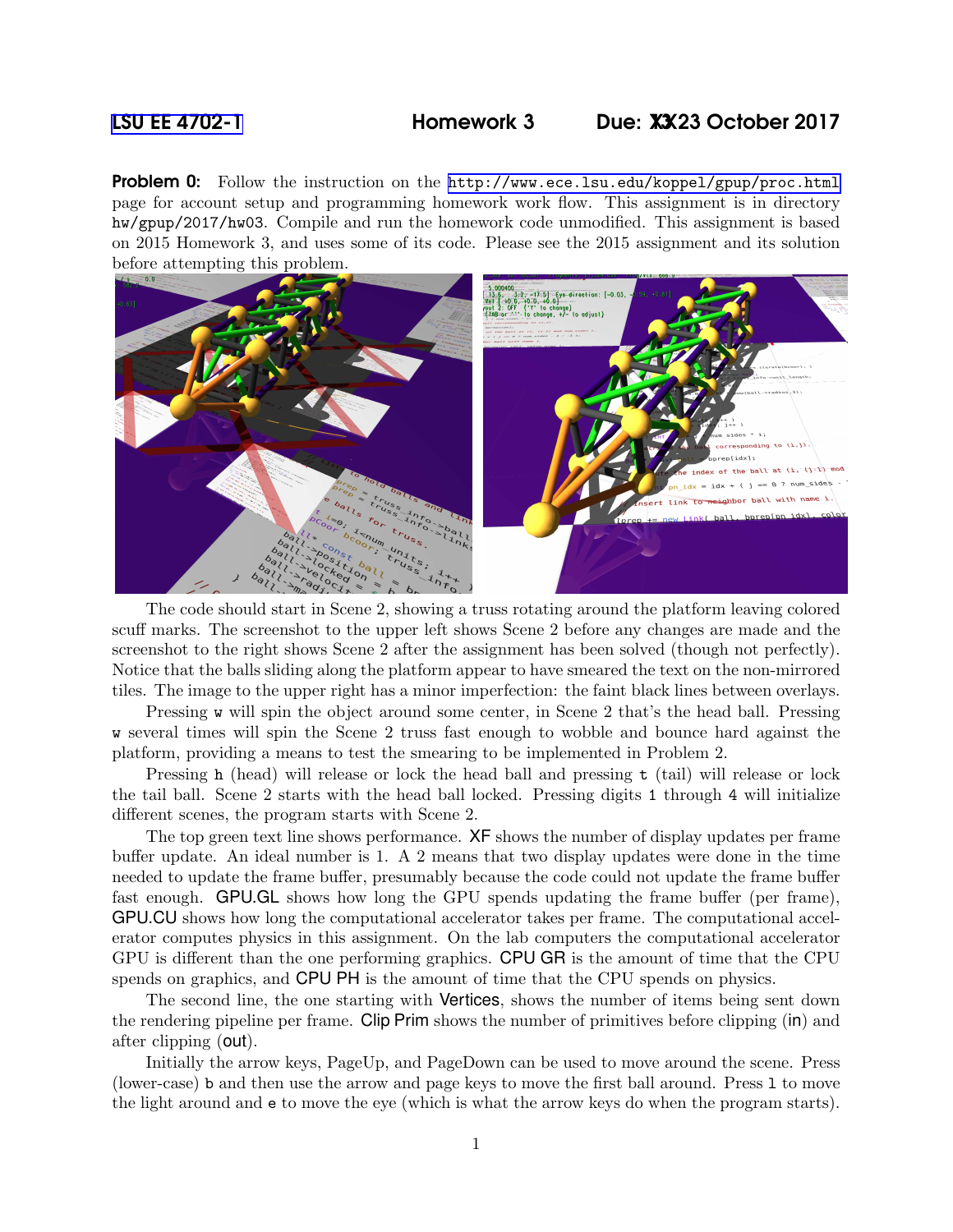## [LSU EE 4702-1](http://www.ece.lsu.edu/koppel/gpup/) Homework 3 Due: XX13 23 October 2017

**Problem 0:** Follow the instruction on the <http://www.ece.lsu.edu/koppel/gpup/proc.html> page for account setup and programming homework work flow. This assignment is in directory hw/gpup/2017/hw03. Compile and run the homework code unmodified. This assignment is based on 2015 Homework 3, and uses some of its code. Please see the 2015 assignment and its solution before attempting this problem.



The code should start in Scene 2, showing a truss rotating around the platform leaving colored scuff marks. The screenshot to the upper left shows Scene 2 before any changes are made and the screenshot to the right shows Scene 2 after the assignment has been solved (though not perfectly). Notice that the balls sliding along the platform appear to have smeared the text on the non-mirrored tiles. The image to the upper right has a minor imperfection: the faint black lines between overlays.

Pressing w will spin the object around some center, in Scene 2 that's the head ball. Pressing w several times will spin the Scene 2 truss fast enough to wobble and bounce hard against the platform, providing a means to test the smearing to be implemented in Problem 2.

Pressing h (head) will release or lock the head ball and pressing t (tail) will release or lock the tail ball. Scene 2 starts with the head ball locked. Pressing digits 1 through 4 will initialize different scenes, the program starts with Scene 2.

The top green text line shows performance. **XF** shows the number of display updates per frame buffer update. An ideal number is 1. A 2 means that two display updates were done in the time needed to update the frame buffer, presumably because the code could not update the frame buffer fast enough. GPU.GL shows how long the GPU spends updating the frame buffer (per frame), GPU.CU shows how long the computational accelerator takes per frame. The computational accelerator computes physics in this assignment. On the lab computers the computational accelerator GPU is different than the one performing graphics. CPU GR is the amount of time that the CPU spends on graphics, and CPU PH is the amount of time that the CPU spends on physics.

The second line, the one starting with Vertices, shows the number of items being sent down the rendering pipeline per frame. Clip Prim shows the number of primitives before clipping (in) and after clipping (out).

Initially the arrow keys, PageUp, and PageDown can be used to move around the scene. Press (lower-case) b and then use the arrow and page keys to move the first ball around. Press l to move the light around and e to move the eye (which is what the arrow keys do when the program starts).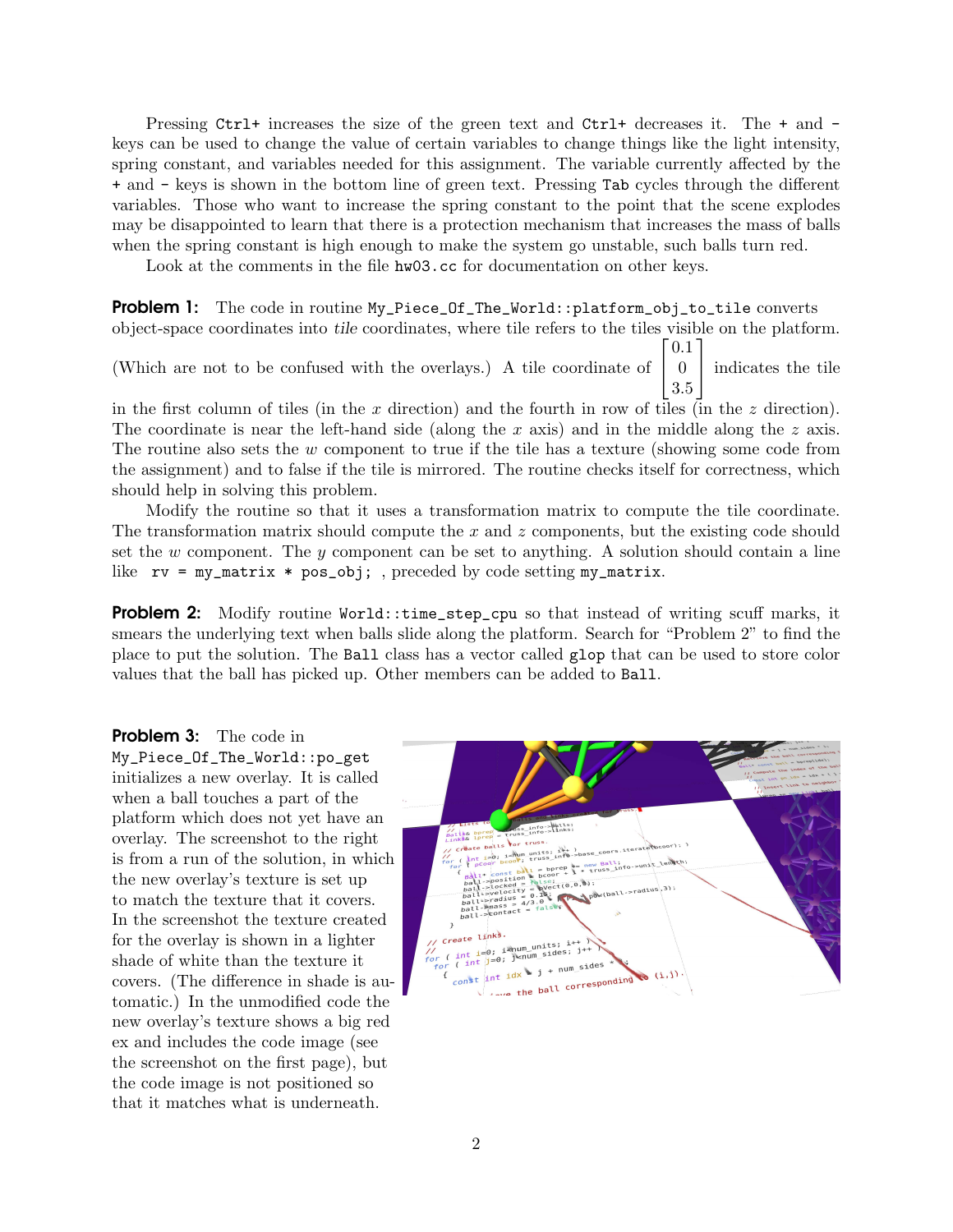Pressing Ctrl+ increases the size of the green text and Ctrl+ decreases it. The + and keys can be used to change the value of certain variables to change things like the light intensity, spring constant, and variables needed for this assignment. The variable currently affected by the + and - keys is shown in the bottom line of green text. Pressing Tab cycles through the different variables. Those who want to increase the spring constant to the point that the scene explodes may be disappointed to learn that there is a protection mechanism that increases the mass of balls when the spring constant is high enough to make the system go unstable, such balls turn red.

Look at the comments in the file hw03.cc for documentation on other keys.

**Problem 1:** The code in routine My\_Piece\_Of\_The\_World::platform\_obj\_to\_tile converts object-space coordinates into tile coordinates, where tile refers to the tiles visible on the platform.

(Which are not to be confused with the overlays.) A tile coordinate of  $\lceil$  $\overline{1}$ 0.1 0 3.5 1 indicates the tile

in the first column of tiles (in the x direction) and the fourth in row of tiles (in the  $z$  direction). The coordinate is near the left-hand side (along the x axis) and in the middle along the  $z$  axis. The routine also sets the w component to true if the tile has a texture (showing some code from the assignment) and to false if the tile is mirrored. The routine checks itself for correctness, which should help in solving this problem.

Modify the routine so that it uses a transformation matrix to compute the tile coordinate. The transformation matrix should compute the  $x$  and  $z$  components, but the existing code should set the w component. The y component can be set to anything. A solution should contain a line like  $rv = my_matrix * pos(obj;$ , preceded by code setting  $my_matrix$ .

**Problem 2:** Modify routine World::time\_step\_cpu so that instead of writing scuff marks, it smears the underlying text when balls slide along the platform. Search for "Problem 2" to find the place to put the solution. The Ball class has a vector called glop that can be used to store color values that the ball has picked up. Other members can be added to Ball.

**Problem 3:** The code in My\_Piece\_Of\_The\_World::po\_get initializes a new overlay. It is called when a ball touches a part of the platform which does not yet have an overlay. The screenshot to the right is from a run of the solution, in which the new overlay's texture is set up to match the texture that it covers. In the screenshot the texture created for the overlay is shown in a lighter shade of white than the texture it covers. (The difference in shade is automatic.) In the unmodified code the new overlay's texture shows a big red ex and includes the code image (see the screenshot on the first page), but the code image is not positioned so that it matches what is underneath.